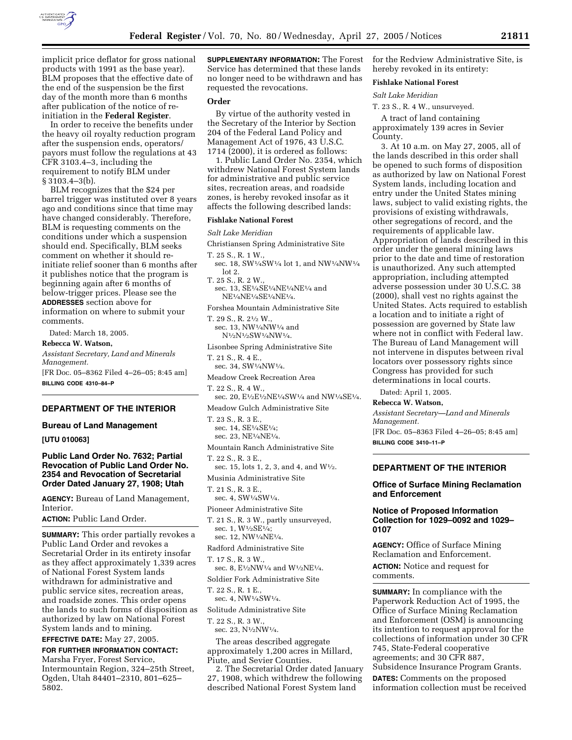

implicit price deflator for gross national products with 1991 as the base year). BLM proposes that the effective date of the end of the suspension be the first day of the month more than 6 months after publication of the notice of reinitiation in the **Federal Register**.

In order to receive the benefits under the heavy oil royalty reduction program after the suspension ends, operators/ payors must follow the regulations at 43 CFR 3103.4–3, including the requirement to notify BLM under § 3103.4–3(b).

BLM recognizes that the \$24 per barrel trigger was instituted over 8 years ago and conditions since that time may have changed considerably. Therefore, BLM is requesting comments on the conditions under which a suspension should end. Specifically, BLM seeks comment on whether it should reinitiate relief sooner than 6 months after it publishes notice that the program is beginning again after 6 months of below-trigger prices. Please see the **ADDRESSES** section above for information on where to submit your comments.

Dated: March 18, 2005.

**Rebecca W. Watson,** 

*Assistant Secretary, Land and Minerals Management.* [FR Doc. 05–8362 Filed 4–26–05; 8:45 am]

**BILLING CODE 4310–84–P**

### **DEPARTMENT OF THE INTERIOR**

### **Bureau of Land Management**

**[UTU 010063]** 

# **Public Land Order No. 7632; Partial Revocation of Public Land Order No. 2354 and Revocation of Secretarial Order Dated January 27, 1908; Utah**

**AGENCY:** Bureau of Land Management, Interior.

**ACTION:** Public Land Order.

**SUMMARY:** This order partially revokes a Public Land Order and revokes a Secretarial Order in its entirety insofar as they affect approximately 1,339 acres of National Forest System lands withdrawn for administrative and public service sites, recreation areas, and roadside zones. This order opens the lands to such forms of disposition as authorized by law on National Forest System lands and to mining.

**EFFECTIVE DATE:** May 27, 2005.

## **FOR FURTHER INFORMATION CONTACT:** Marsha Fryer, Forest Service, Intermountain Region, 324–25th Street, Ogden, Utah 84401–2310, 801–625– 5802.

**SUPPLEMENTARY INFORMATION:** The Forest Service has determined that these lands no longer need to be withdrawn and has requested the revocations.

### **Order**

By virtue of the authority vested in the Secretary of the Interior by Section 204 of the Federal Land Policy and Management Act of 1976, 43 U.S.C. 1714 (2000), it is ordered as follows:

1. Public Land Order No. 2354, which withdrew National Forest System lands for administrative and public service sites, recreation areas, and roadside zones, is hereby revoked insofar as it affects the following described lands:

### **Fishlake National Forest**

#### *Salt Lake Meridian*

- Christiansen Spring Administrative Site
- T. 25 S., R. 1 W.,
- sec. 18, SW1⁄4SW1⁄4 lot 1, and NW1⁄4NW1⁄4 lot 2.
- T. 25 S., R. 2 W., sec. 13, SE1⁄4SE1⁄4NE1⁄4NE1⁄4 and NE1⁄4NE1⁄4SE1⁄4NE1⁄4.
- Forshea Mountain Administrative Site
- T. 29 S., R. 21⁄2 W., sec. 13, NW1⁄4NW1⁄4 and N1⁄2N1⁄2SW1⁄4NW1⁄4.
- Lisonbee Spring Administrative Site
- T. 21 S., R. 4 E.,
- sec. 34, SW1⁄4NW1⁄4.
- Meadow Creek Recreation Area
- T. 22 S., R. 4 W.,
- sec. 20, E1⁄2E1⁄2NE1⁄4SW1⁄4 and NW1⁄4SE1⁄4.
- Meadow Gulch Administrative Site
- T. 23 S., R. 3 E., sec. 14, SE1⁄4SE1⁄4; sec. 23, NE1⁄4NE1⁄4.
- Mountain Ranch Administrative Site
- T. 22 S., R. 3 E.,
- sec. 15, lots 1, 2, 3, and 4, and W1⁄2.
- Musinia Administrative Site
- T. 21 S., R. 3 E.,
- sec. 4, SW1⁄4SW1⁄4.
- Pioneer Administrative Site
- T. 21 S., R. 3 W., partly unsurveyed, sec. 1, W<sup>1</sup>/2SE<sup>1</sup>/<sub>4</sub>;
- sec. 12, NW1⁄4NE1⁄4.
- Radford Administrative Site
- T. 17 S., R. 3 W.,
- sec. 8, E<sup>1</sup>/<sub>2</sub>NW<sup>1</sup>/<sub>4</sub> and W<sup>1</sup>/<sub>2</sub>NE<sup>1</sup>/<sub>4</sub>.
- Soldier Fork Administrative Site
- T. 22 S., R. 1 E., sec. 4, NW1⁄4SW1⁄4.
- Solitude Administrative Site
- T. 22 S., R. 3 W.,
- sec. 23, N1⁄2NW1⁄4.

The areas described aggregate approximately 1,200 acres in Millard, Piute, and Sevier Counties.

2. The Secretarial Order dated January 27, 1908, which withdrew the following described National Forest System land

for the Redview Administrative Site, is hereby revoked in its entirety:

## **Fishlake National Forest**

#### *Salt Lake Meridian*

T. 23 S., R. 4 W., unsurveyed.

A tract of land containing approximately 139 acres in Sevier County.

3. At 10 a.m. on May 27, 2005, all of the lands described in this order shall be opened to such forms of disposition as authorized by law on National Forest System lands, including location and entry under the United States mining laws, subject to valid existing rights, the provisions of existing withdrawals, other segregations of record, and the requirements of applicable law. Appropriation of lands described in this order under the general mining laws prior to the date and time of restoration is unauthorized. Any such attempted appropriation, including attempted adverse possession under 30 U.S.C. 38 (2000), shall vest no rights against the United States. Acts required to establish a location and to initiate a right of possession are governed by State law where not in conflict with Federal law. The Bureau of Land Management will not intervene in disputes between rival locators over possessory rights since Congress has provided for such determinations in local courts.

Dated: April 1, 2005.

### **Rebecca W. Watson,**

*Assistant Secretary—Land and Minerals Management.* [FR Doc. 05–8363 Filed 4–26–05; 8:45 am]

**BILLING CODE 3410–11–P**

#### **DEPARTMENT OF THE INTERIOR**

### **Office of Surface Mining Reclamation and Enforcement**

# **Notice of Proposed Information Collection for 1029–0092 and 1029– 0107**

**AGENCY:** Office of Surface Mining Reclamation and Enforcement.

**ACTION:** Notice and request for comments.

**SUMMARY:** In compliance with the Paperwork Reduction Act of 1995, the Office of Surface Mining Reclamation and Enforcement (OSM) is announcing its intention to request approval for the collections of information under 30 CFR 745, State-Federal cooperative agreements; and 30 CFR 887, Subsidence Insurance Program Grants.

**DATES:** Comments on the proposed information collection must be received